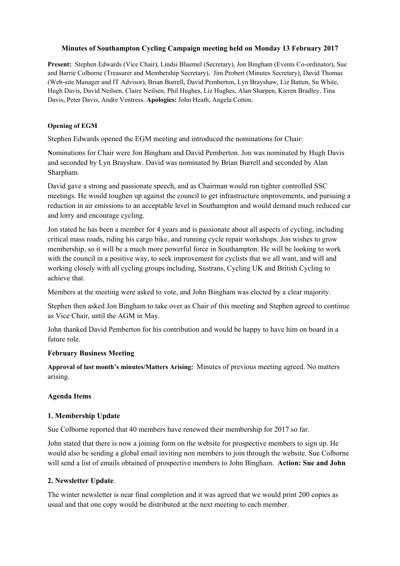### **Minutes of Southampton Cycling Campaign meeting held on Monday 13 February 2017**

**Present:** Stephen Edwards (Vice Chair), Lindsi Bluemel (Secretary), Jon Bingham (Events Co-ordinator), Sue and Barrie Colborne (Treasurer and Membership Secretary), Jim Probert (Minutes Secretary), David Thomas (Web-site Manager and IT Advisor), Brian Burrell, David Pemberton, Lyn Brayshaw, Liz Batten, Su White, Hugh Davis, David Neilsen, Claire Neilsen, Phil Hughes, Liz Hughes, Alan Sharpen, Kieren Bradley, Tina Davis, Peter Davis, Andre Ventress. **Apologies:** John Heath, Angela Cotton.

#### **Opening of EGM**

Stephen Edwards opened the EGM meeting and introduced the nominations for Chair:

**N**ominations for Chair were Jon Bingham and David Pemberton. Jon was nominated by Hugh Davis and seconded by Lyn Brayshaw. David was nominated by Brian Burrell and seconded by Alan Sharpham.

David gave a strong and passionate speech, and as Chairman would run tighter controlled SSC meetings. He would toughen up against the council to get infrastructure improvements, and pursuing a reduction in air emissions to an acceptable level in Southampton and would demand much reduced car and lorry and encourage cycling.

Jon stated he has been a member for 4 years and is passionate about all aspects of cycling, including critical mass roads, riding his cargo bike, and running cycle repair workshops. Jon wishes to grow membership, so it will be a much more powerful force in Southampton. He will be looking to work with the council in a positive way, to seek improvement for cyclists that we all want, and will and working closely with all cycling groups including, Sustrans, Cycling UK and British Cycling to achieve that.

Members at the meeting were asked to vote, and John Bingham was elected by a clear majority.

Stephen then asked Jon Bingham to take over as Chair of this meeting and Stephen agreed to continue as Vice Chair, until the AGM in May.

John thanked David Pemberton for his contribution and would be happy to have him on board in a future role.

#### **February Business Meeting**

**Approval of last month's minutes/Matters Arising:** Minutes of previous meeting agreed. No matters arising.

# **Agenda Items**

# **1. Membership Update**

Sue Colborne reported that 40 members have renewed their membership for 2017 so far.

John stated that there is now a joining form on the website for prospective members to sign up. He would also be sending a global email inviting non members to join through the website. Sue Colborne will send a list of emails obtained of prospective members to John Bingham. **Action: Sue and John**

# **2. Newsletter Update**.

The winter newsletter is near final completion and it was agreed that we would print 200 copies as usual and that one copy would be distributed at the next meeting to each member.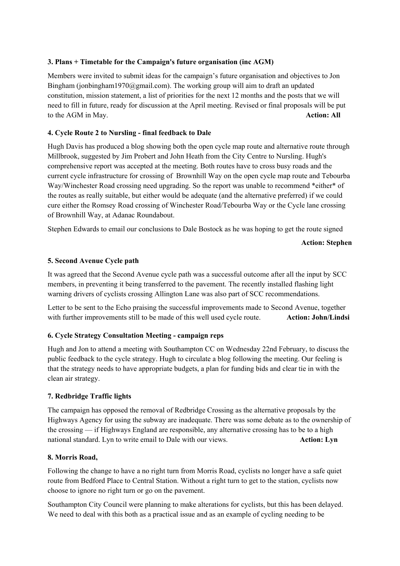# **3. Plans + Timetable for the Campaign's future organisation (inc AGM)**

Members were invited to submit ideas for the campaign's future organisation and objectives to Jon Bingham (jonbingham1970@gmail.com). The working group will aim to draft an updated constitution, mission statement, a list of priorities for the next 12 months and the posts that we will need to fill in future, ready for discussion at the April meeting. Revised or final proposals will be put to the AGM in May. **Action: All** 

### **4. Cycle Route 2 to Nursling - final feedback to Dale**

Hugh Davis has produced a blog showing both the open cycle map route and alternative route through Millbrook, suggested by Jim Probert and John Heath from the City Centre to Nursling. Hugh's comprehensive report was accepted at the meeting. Both routes have to cross busy roads and the current cycle infrastructure for crossing of Brownhill Way on the open cycle map route and Tebourba Way/Winchester Road crossing need upgrading. So the report was unable to recommend \*either\* of the routes as really suitable, but either would be adequate (and the alternative preferred) if we could cure either the Romsey Road crossing of Winchester Road/Tebourba Way or the Cycle lane crossing of Brownhill Way, at Adanac Roundabout.

Stephen Edwards to email our conclusions to Dale Bostock as he was hoping to get the route signed

**Action: Stephen** 

### **5. Second Avenue Cycle path**

It was agreed that the Second Avenue cycle path was a successful outcome after all the input by SCC members, in preventing it being transferred to the pavement. The recently installed flashing light warning drivers of cyclists crossing Allington Lane was also part of SCC recommendations.

Letter to be sent to the Echo praising the successful improvements made to Second Avenue, together with further improvements still to be made of this well used cycle route. **Action: John/Lindsi**

# **6. Cycle Strategy Consultation Meeting - campaign reps**

Hugh and Jon to attend a meeting with Southampton CC on Wednesday 22nd February, to discuss the public feedback to the cycle strategy. Hugh to circulate a blog following the meeting. Our feeling is that the strategy needs to have appropriate budgets, a plan for funding bids and clear tie in with the clean air strategy.

#### **7. Redbridge Traffic lights**

The campaign has opposed the removal of Redbridge Crossing as the alternative proposals by the Highways Agency for using the subway are inadequate. There was some debate as to the ownership of the crossing — if Highways England are responsible, any alternative crossing has to be to a high national standard. Lyn to write email to Dale with our views. **Action: Lyn**

#### **8. Morris Road,**

Following the change to have a no right turn from Morris Road, cyclists no longer have a safe quiet route from Bedford Place to Central Station. Without a right turn to get to the station, cyclists now choose to ignore no right turn or go on the pavement.

Southampton City Council were planning to make alterations for cyclists, but this has been delayed. We need to deal with this both as a practical issue and as an example of cycling needing to be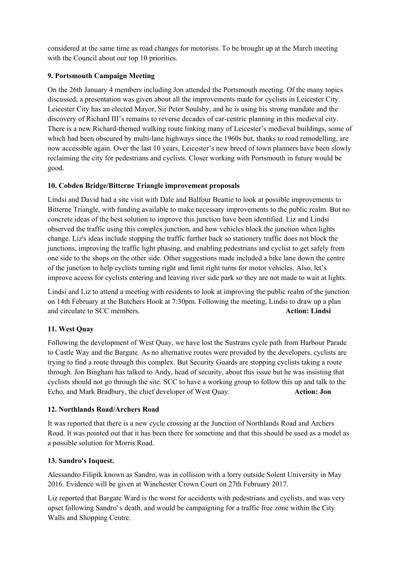considered at the same time as road changes for motorists. To be brought up at the March meeting with the Council about our top 10 priorities.

# **9. Portsmouth Campaign Meeting**

On the 26th January 4 members including Jon attended the Portsmouth meeting. Of the many topics discussed, a presentation was given about all the improvements made for cyclists in Leicester City. Leicester City has an elected Mayor, Sir Peter Soulsby, and he is using his strong mandate and the discovery of Richard III's remains to reverse decades of car-centric planning in this medieval city. There is a new Richard-themed walking route linking many of Leicester's medieval buildings, some of which had been obscured by multi-lane highways since the 1960s but, thanks to road remodelling, are now accessible again. Over the last 10 years, Leicester's new breed of town planners have been slowly reclaiming the city for pedestrians and cyclists. Closer working with Portsmouth in future would be good.

# **10. Cobden Bridge/Bitterne Triangle improvement proposals**

Lindsi and David had a site visit with Dale and Balfour Beattie to look at possible improvements to Bitterne Triangle, with funding available to make necessary improvements to the public realm. But no concrete ideas of the best solution to improve this junction have been identified. Liz and Lindsi observed the traffic using this complex junction, and how vehicles block the junction when lights change. Liz's ideas include stopping the traffic further back so stationery traffic does not block the junctions, improving the traffic light phasing, and enabling pedestrians and cyclist to get safely from one side to the shops on the other side. Other suggestions made included a bike lane down the centre of the junction to help cyclists turning right and limit right turns for motor vehicles. Also, let's improve access for cyclists entering and leaving river side park so they are not made to wait at lights.

Lindsi and Liz to attend a meeting with residents to look at improving the public realm of the junction on 14th February at the Butchers Hook at 7:30pm. Following the meeting, Lindsi to draw up a plan and circulate to SCC members. **Action: Lindsi**

# **11. West Quay**

Following the development of West Quay, we have lost the Sustrans cycle path from Harbour Parade to Castle Way and the Bargate. As no alternative routes were provided by the developers, cyclists are trying to find a route through this complex. But Security Guards are stopping cyclists taking a route through. Jon Bingham has talked to Andy, head of security, about this issue but he was insisting that cyclists should not go through the site. SCC to have a working group to follow this up and talk to the Echo, and Mark Bradbury, the chief developer of West Quay. **Action: Jon** 

# **12. Northlands Road/Archers Road**

It was reported that there is a new cycle crossing at the Junction of Northlands Road and Archers Road. It was pointed out that it has been there for sometime and that this should be used as a model as a possible solution for Morris Road.

# **13. Sandro's Inquest.**

Alessandro Filipik known as Sandro, was in collision with a lorry outside Solent University in May 2016. Evidence will be given at Winchester Crown Court on 27th February 2017.

Liz reported that Bargate Ward is the worst for accidents with pedestrians and cyclists, and was very upset following Sandro' s death, and would be campaigning for a traffic free zone within the City Walls and Shopping Centre.